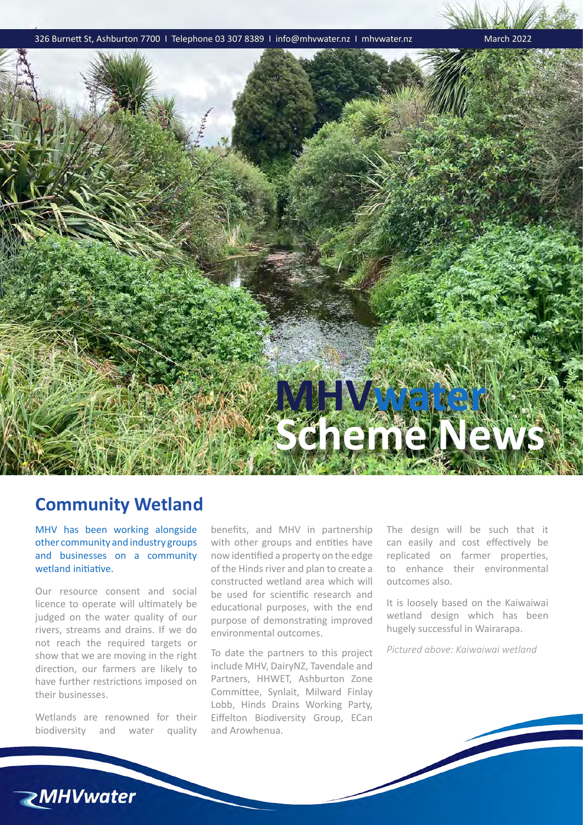326 Burnett St, Ashburton 7700 I Telephone 03 307 8389 I info@mhvwater.nz I mhvwater.nz March 2022



## **Community Wetland**

MHV has been working alongside other community and industry groups and businesses on a community wetland initiative.

Our resource consent and social licence to operate will ultimately be judged on the water quality of our rivers, streams and drains. If we do not reach the required targets or show that we are moving in the right direction, our farmers are likely to have further restrictions imposed on their businesses.

Wetlands are renowned for their biodiversity and water quality benefits, and MHV in partnership with other groups and entities have now identified a property on the edge of the Hinds river and plan to create a constructed wetland area which will be used for scientific research and educational purposes, with the end purpose of demonstrating improved environmental outcomes.

To date the partners to this project include MHV, DairyNZ, Tavendale and Partners, HHWET, Ashburton Zone Committee, Synlait, Milward Finlay Lobb, Hinds Drains Working Party, Eiffelton Biodiversity Group, ECan and Arowhenua.

The design will be such that it can easily and cost effectively be replicated on farmer properties, to enhance their environmental outcomes also.

It is loosely based on the Kaiwaiwai wetland design which has been hugely successful in Wairarapa.

*Pictured above: Kaiwaiwai wetland*

**ZMHVwater**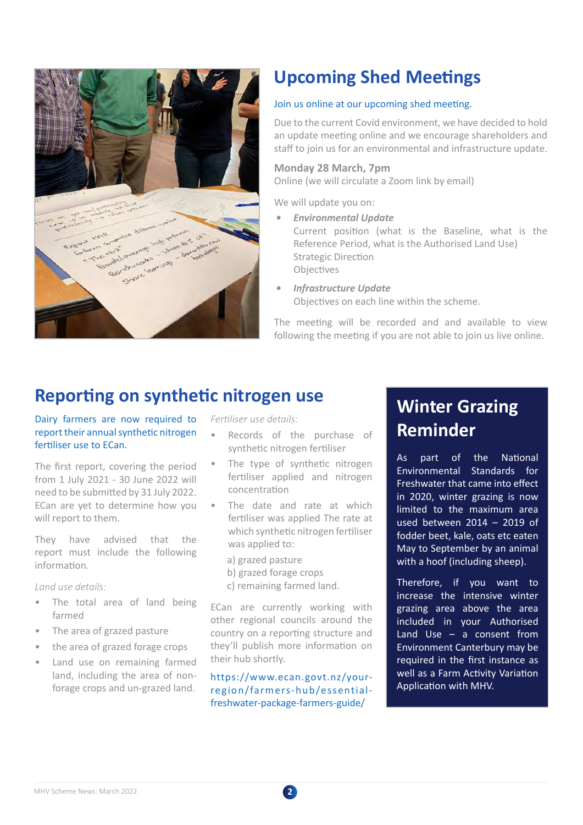

# **Upcoming Shed Meetings**

## Join us online at our upcoming shed meeting.

Due to the current Covid environment, we have decided to hold an update meeting online and we encourage shareholders and staff to join us for an environmental and infrastructure update.

### **Monday 28 March, 7pm**

Online (we will circulate a Zoom link by email)

We will update you on:

*• Environmental Update*

Current position (what is the Baseline, what is the Reference Period, what is the Authorised Land Use) Strategic Direction **Objectives** 

*• Infrastructure Update* Objectives on each line within the scheme.

The meeting will be recorded and and available to view following the meeting if you are not able to join us live online.

## **Reporting on synthetic nitrogen use**

Dairy farmers are now required to report their annual synthetic nitrogen fertiliser use to ECan.

The first report, covering the period from 1 July 2021 - 30 June 2022 will need to be submitted by 31 July 2022. ECan are yet to determine how you will report to them.

They have advised that the report must include the following information.

*Land use details:*

- The total area of land being farmed
- The area of grazed pasture
- the area of grazed forage crops
- Land use on remaining farmed land, including the area of nonforage crops and un-grazed land.

*Fertiliser use details:*

- Records of the purchase of synthetic nitrogen fertiliser
- The type of synthetic nitrogen fertiliser applied and nitrogen concentration
- The date and rate at which fertiliser was applied The rate at which synthetic nitrogen fertiliser was applied to:
	- a) grazed pasture
	- b) grazed forage crops
	- c) remaining farmed land.

ECan are currently working with other regional councils around the country on a reporting structure and they'll publish more information on their hub shortly.

https://www.ecan.govt.nz/yourregion/farmers-hub/essentialfreshwater-package-farmers-guide/

# **Winter Grazing Reminder**

As part of the National Environmental Standards for Freshwater that came into effect in 2020, winter grazing is now limited to the maximum area used between 2014 – 2019 of fodder beet, kale, oats etc eaten May to September by an animal with a hoof (including sheep).

Therefore, if you want to increase the intensive winter grazing area above the area included in your Authorised Land Use – a consent from Environment Canterbury may be required in the first instance as well as a Farm Activity Variation Application with MHV.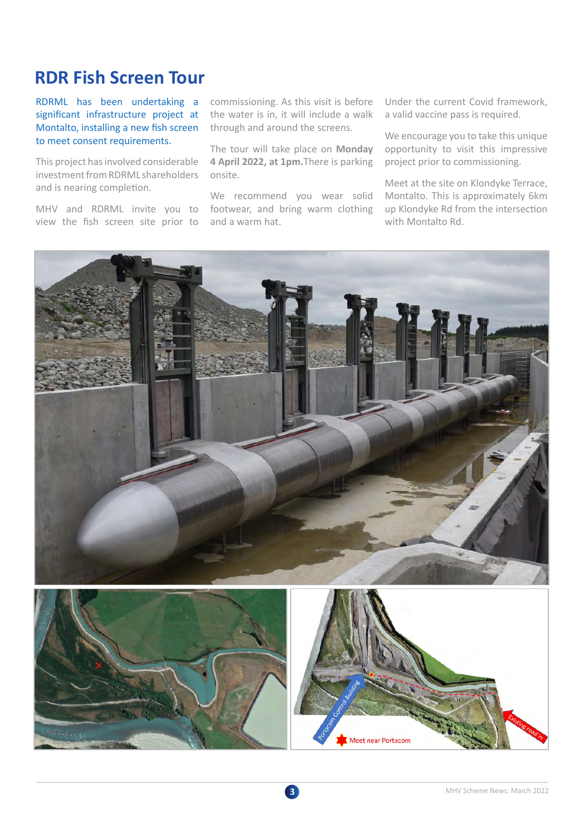# **RDR Fish Screen Tour**

RDRML has been undertaking a significant infrastructure project at Montalto, installing a new fish screen to meet consent requirements.

This project has involved considerable investment from RDRML shareholders and is nearing completion.

MHV and RDRML invite you to view the fish screen site prior to commissioning. As this visit is before the water is in, it will include a walk through and around the screens.

The tour will take place on **Monday 4 April 2022, at 1pm.**There is parking onsite.

We recommend you wear solid footwear, and bring warm clothing and a warm hat.

Under the current Covid framework, a valid vaccine pass is required.

We encourage you to take this unique opportunity to visit this impressive project prior to commissioning.

Meet at the site on Klondyke Terrace, Montalto. This is approximately 6km up Klondyke Rd from the intersection with Montalto Rd.

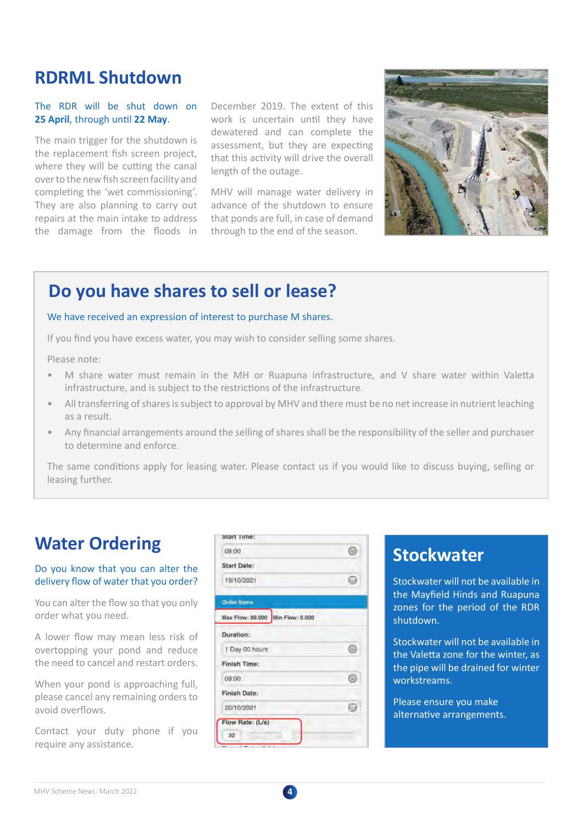# **RDRML Shutdown**

### The RDR will be shut down on **25 April**, through until **22 May**.

The main trigger for the shutdown is the replacement fish screen project, where they will be cutting the canal over to the new fish screen facility and completing the 'wet commissioning'. They are also planning to carry out repairs at the main intake to address the damage from the floods in

December 2019. The extent of this work is uncertain until they have dewatered and can complete the assessment, but they are expecting that this activity will drive the overall length of the outage.

MHV will manage water delivery in advance of the shutdown to ensure that ponds are full, in case of demand through to the end of the season.



# **Do you have shares to sell or lease?**

### We have received an expression of interest to purchase M shares.

If you find you have excess water, you may wish to consider selling some shares.

Please note:

- M share water must remain in the MH or Ruapuna infrastructure, and V share water within Valetta infrastructure, and is subject to the restrictions of the infrastructure.
- All transferring of shares is subject to approval by MHV and there must be no net increase in nutrient leaching as a result.
- Any financial arrangements around the selling of shares shall be the responsibility of the seller and purchaser to determine and enforce.

The same conditions apply for leasing water. Please contact us if you would like to discuss buying, selling or leasing further.

### Do you know that you can alter the delivery flow of water that you order?

| <b>Water Ordering</b>                                                                                            | Start Time:                      |            |                                                                                                                                           |
|------------------------------------------------------------------------------------------------------------------|----------------------------------|------------|-------------------------------------------------------------------------------------------------------------------------------------------|
|                                                                                                                  | 08:00                            | $^{\circ}$ | <b>Stockwater</b>                                                                                                                         |
| Do you know that you can alter the<br>delivery flow of water that you order?                                     | Start Date:                      |            | Stockwater will not b<br>the Mayfield Hinds a<br>zones for the period<br>shutdown.                                                        |
|                                                                                                                  | 19/10/2021                       | ⋒          |                                                                                                                                           |
| You can alter the flow so that you only<br>order what you need.                                                  | <b>Order Items</b>               |            |                                                                                                                                           |
|                                                                                                                  | Max Flow: 90.000 Min Flow: 0.000 |            |                                                                                                                                           |
| A lower flow may mean less risk of<br>overtopping your pond and reduce<br>the need to cancel and restart orders. | Duration:                        |            | Stockwater will not b<br>the Valetta zone for t<br>the pipe will be drain<br>workstreams.<br>Please ensure you ma<br>alternative arrangem |
|                                                                                                                  | 1 Day 00 hours                   | ◎          |                                                                                                                                           |
|                                                                                                                  | Finish Time:                     |            |                                                                                                                                           |
| When your pond is approaching full,<br>please cancel any remaining orders to<br>avoid overflows.                 | 08:00                            | ◎          |                                                                                                                                           |
|                                                                                                                  | <b>Finish Date:</b>              |            |                                                                                                                                           |
|                                                                                                                  | 20/10/2021                       | ⋒          |                                                                                                                                           |
|                                                                                                                  | Flow Rate: (L/s)                 |            |                                                                                                                                           |
| Contact your duty phone if you                                                                                   | 32                               |            |                                                                                                                                           |
| require any assistance.                                                                                          |                                  |            |                                                                                                                                           |

Stockwater will not be available in the Mayfield Hinds and Ruapuna zones for the period of the RDR shutdown.

Stockwater will not be available in the Valetta zone for the winter, as the pipe will be drained for winter workstreams.

Please ensure you make alternative arrangements.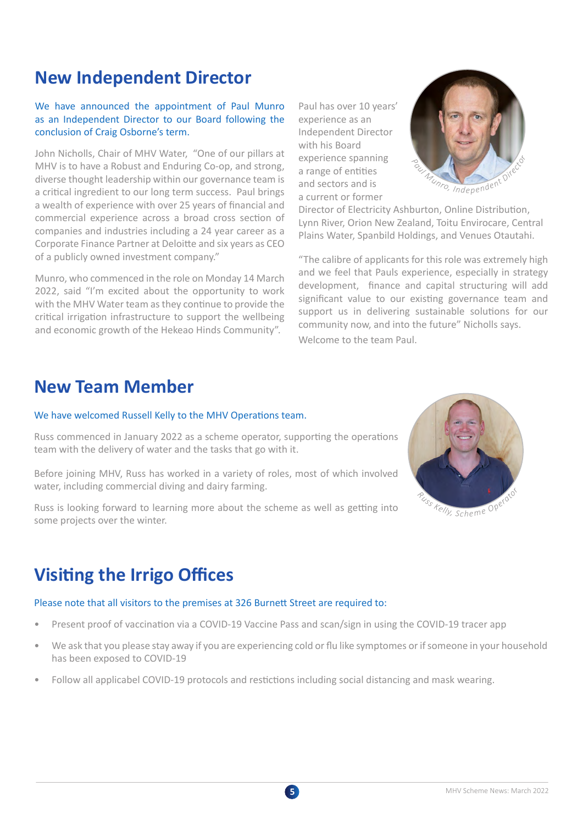# **New Independent Director**

## We have announced the appointment of Paul Munro as an Independent Director to our Board following the conclusion of Craig Osborne's term.

John Nicholls, Chair of MHV Water, "One of our pillars at MHV is to have a Robust and Enduring Co-op, and strong, diverse thought leadership within our governance team is a critical ingredient to our long term success. Paul brings a wealth of experience with over 25 years of financial and commercial experience across a broad cross section of companies and industries including a 24 year career as a Corporate Finance Partner at Deloitte and six years as CEO of a publicly owned investment company."

Munro, who commenced in the role on Monday 14 March 2022, said "I'm excited about the opportunity to work with the MHV Water team as they continue to provide the critical irrigation infrastructure to support the wellbeing and economic growth of the Hekeao Hinds Community".

Paul has over 10 years' experience as an Independent Director with his Board experience spanning a range of entities and sectors and is a current or former



Director of Electricity Ashburton, Online Distribution, Lynn River, Orion New Zealand, Toitu Envirocare, Central Plains Water, Spanbild Holdings, and Venues Otautahi.

"The calibre of applicants for this role was extremely high and we feel that Pauls experience, especially in strategy development, finance and capital structuring will add significant value to our existing governance team and support us in delivering sustainable solutions for our community now, and into the future" Nicholls says. Welcome to the team Paul.

# **New Team Member**

### We have welcomed Russell Kelly to the MHV Operations team.

Russ commenced in January 2022 as a scheme operator, supporting the operations team with the delivery of water and the tasks that go with it.

Before joining MHV, Russ has worked in a variety of roles, most of which involved water, including commercial diving and dairy farming.

Russ is looking forward to learning more about the scheme as well as getting into some projects over the winter.

# **Visiting the Irrigo Offices**

### Please note that all visitors to the premises at 326 Burnett Street are required to:

- Present proof of vaccination via a COVID-19 Vaccine Pass and scan/sign in using the COVID-19 tracer app
- We ask that you please stay away if you are experiencing cold or flu like symptomes or if someone in your household has been exposed to COVID-19
- Follow all applicabel COVID-19 protocols and restictions including social distancing and mask wearing.